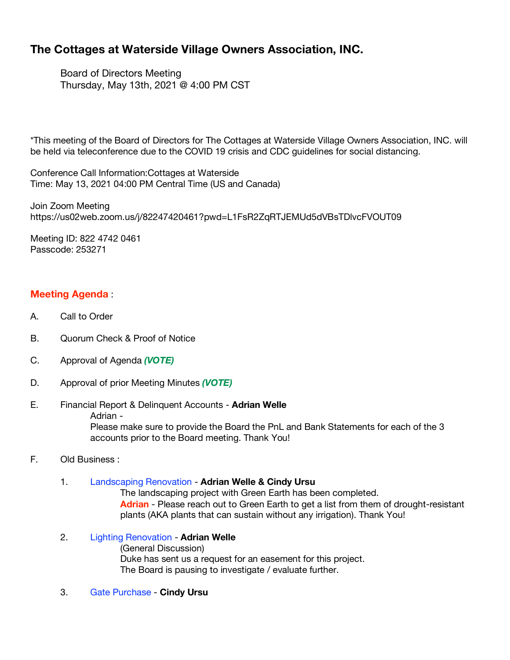# **The Cottages at Waterside Village Owners Association, INC.**

Board of Directors Meeting Thursday, May 13th, 2021 @ 4:00 PM CST

\*This meeting of the Board of Directors for The Cottages at Waterside Village Owners Association, INC. will be held via teleconference due to the COVID 19 crisis and CDC guidelines for social distancing.

Conference Call Information:Cottages at Waterside Time: May 13, 2021 04:00 PM Central Time (US and Canada)

Join Zoom Meeting https://us02web.zoom.us/j/82247420461?pwd=L1FsR2ZqRTJEMUd5dVBsTDlvcFVOUT09

Meeting ID: 822 4742 0461 Passcode: 253271

# **Meeting Agenda** :

- A. Call to Order
- B. Quorum Check & Proof of Notice
- C. Approval of Agenda *(VOTE)*
- D. Approval of prior Meeting Minutes *(VOTE)*
- E. Financial Report & Delinquent Accounts **Adrian Welle** Adrian - Please make sure to provide the Board the PnL and Bank Statements for each of the 3 accounts prior to the Board meeting. Thank You!
- F. Old Business :

# 1. Landscaping Renovation - **Adrian Welle & Cindy Ursu**

The landscaping project with Green Earth has been completed. **Adrian** - Please reach out to Green Earth to get a list from them of drought-resistant plants (AKA plants that can sustain without any irrigation). Thank You!

- 2. Lighting Renovation **Adrian Welle** (General Discussion) Duke has sent us a request for an easement for this project. The Board is pausing to investigate / evaluate further.
- 3. Gate Purchase **Cindy Ursu**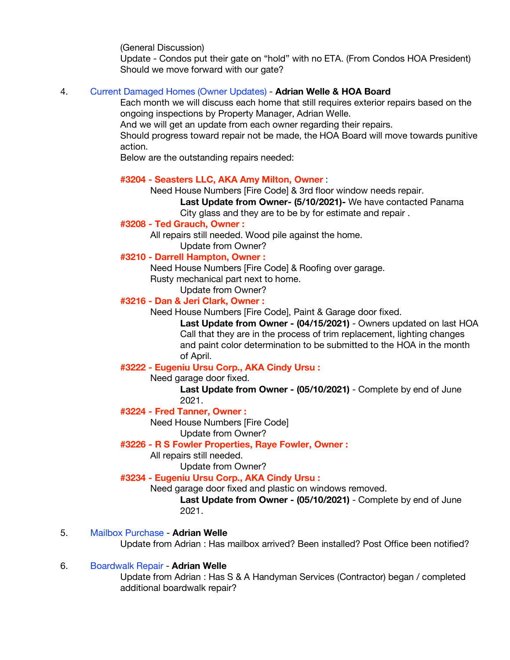(General Discussion)

Update - Condos put their gate on "hold" with no ETA. (From Condos HOA President) Should we move forward with our gate?

### 4. Current Damaged Homes (Owner Updates) - **Adrian Welle & HOA Board**

Each month we will discuss each home that still requires exterior repairs based on the ongoing inspections by Property Manager, Adrian Welle.

And we will get an update from each owner regarding their repairs.

Should progress toward repair not be made, the HOA Board will move towards punitive action.

Below are the outstanding repairs needed:

### **#3204 - Seasters LLC, AKA Amy Milton, Owner** :

Need House Numbers [Fire Code] & 3rd floor window needs repair.

**Last Update from Owner- (5/10/2021)-** We have contacted Panama City glass and they are to be by for estimate and repair.

### **#3208 - Ted Grauch, Owner :**

All repairs still needed. Wood pile against the home.

Update from Owner?

# **#3210 - Darrell Hampton, Owner :**

Need House Numbers [Fire Code] & Roofing over garage.

Rusty mechanical part next to home.

Update from Owner?

# **#3216 - Dan & Jeri Clark, Owner :**

Need House Numbers [Fire Code], Paint & Garage door fixed.

**Last Update from Owner - (04/15/2021)** - Owners updated on last HOA Call that they are in the process of trim replacement, lighting changes and paint color determination to be submitted to the HOA in the month of April.

# **#3222 - Eugeniu Ursu Corp., AKA Cindy Ursu :**

Need garage door fixed.

**Last Update from Owner - (05/10/2021)** - Complete by end of June 2021.

### **#3224 - Fred Tanner, Owner :**

Need House Numbers [Fire Code]

Update from Owner?

### **#3226 - R S Fowler Properties, Raye Fowler, Owner :**

All repairs still needed.

Update from Owner?

# **#3234 - Eugeniu Ursu Corp., AKA Cindy Ursu :**

Need garage door fixed and plastic on windows removed.

**Last Update from Owner - (05/10/2021)** - Complete by end of June 2021.

### 5. Mailbox Purchase - **Adrian Welle**

Update from Adrian : Has mailbox arrived? Been installed? Post Office been notified?

### 6. Boardwalk Repair - **Adrian Welle**

Update from Adrian : Has S & A Handyman Services (Contractor) began / completed additional boardwalk repair?